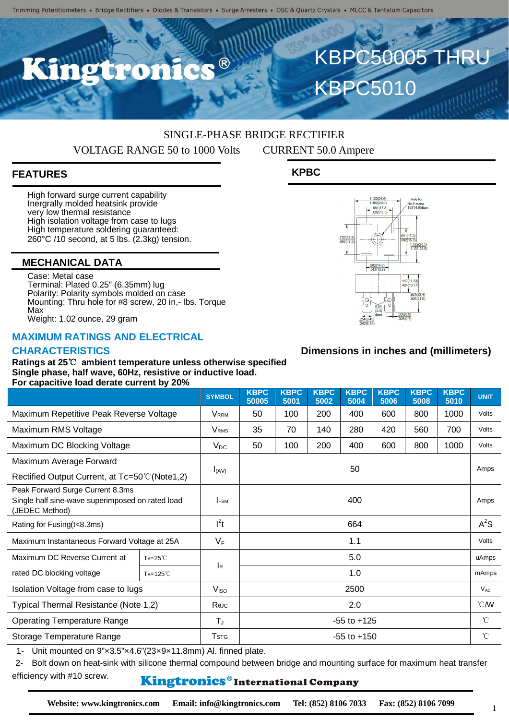## SINGLE-PHASE BRIDGE RECTIFIER VOLTAGE RANGE 50 to 1000 Volts CURRENT 50.0 Ampere

## **FEATURES**

High forward surge current capability Inergrally molded heatsink provide very low thermal resistance High isolation voltage from case to lugs High temperature soldering guaranteed: 260°C /10 second, at 5 lbs. (2.3kg) tension.

#### **MECHANICAL DATA**

Case: Metal case Terminal: Plated 0.25" (6.35mm) lug Polarity: Polarity symbols molded on case Mounting: Thru hole for #8 screw, 20 in,- lbs. Torque Max Weight: 1.02 ounce, 29 gram

#### **MAXIMUM RATINGS AND ELECTRICAL**

#### **CHARACTERISTICS**

**Ratings at 25**℃ **ambient temperature unless otherwise specified Single phase, half wave, 60Hz, resistive or inductive load. For capacitive load derate current by 20%**

|                                                                                                        |                  | <b>SYMBOL</b>           | <b>KBPC</b><br>50005 | <b>KBPC</b><br>5001 | <b>KBPC</b><br>5002 | <b>KBPC</b><br>5004 | <b>KBPC</b><br>5006 | <b>KBPC</b><br>5008 | <b>KBPC</b><br>5010 | <b>UNIT</b>   |
|--------------------------------------------------------------------------------------------------------|------------------|-------------------------|----------------------|---------------------|---------------------|---------------------|---------------------|---------------------|---------------------|---------------|
| Maximum Repetitive Peak Reverse Voltage                                                                |                  | <b>V</b> <sub>RRM</sub> | 50                   | 100                 | 200                 | 400                 | 600                 | 800                 | 1000                | Volts         |
| Maximum RMS Voltage                                                                                    |                  | <b>V</b> <sub>RMS</sub> | 35                   | 70                  | 140                 | 280                 | 420                 | 560                 | 700                 | Volts         |
| Maximum DC Blocking Voltage                                                                            |                  | $V_{DC}$                | 50                   | 100                 | 200                 | 400                 | 600                 | 800                 | 1000                | Volts         |
| Maximum Average Forward                                                                                |                  | $I_{(AV)}$              | 50                   |                     |                     |                     |                     |                     |                     | Amps          |
| Rectified Output Current, at Tc=50°C (Note1,2)                                                         |                  |                         |                      |                     |                     |                     |                     |                     |                     |               |
| Peak Forward Surge Current 8.3ms<br>Single half sine-wave superimposed on rated load<br>(JEDEC Method) |                  | <b>FSM</b>              | 400                  |                     |                     |                     |                     |                     |                     | Amps          |
| Rating for Fusing(t<8.3ms)                                                                             |                  | $l^2t$                  | 664                  |                     |                     |                     |                     |                     |                     | $A^2S$        |
| Maximum Instantaneous Forward Voltage at 25A                                                           |                  | $V_F$                   | 1.1                  |                     |                     |                     |                     |                     |                     | Volts         |
| Maximum DC Reverse Current at                                                                          | $Ta=25^{\circ}C$ | Iв                      | 5.0                  |                     |                     |                     |                     |                     |                     | uAmps         |
| rated DC blocking voltage                                                                              | TA=125°C         |                         | 1.0                  |                     |                     |                     |                     |                     |                     | mAmps         |
| Isolation Voltage from case to lugs                                                                    |                  | V <sub>ISO</sub>        | 2500                 |                     |                     |                     |                     |                     |                     | $V_{AC}$      |
| Typical Thermal Resistance (Note 1,2)                                                                  |                  | Rejc                    | 2.0                  |                     |                     |                     |                     |                     |                     | $\degree$ CMV |
| <b>Operating Temperature Range</b>                                                                     |                  | $T_{\rm J}$             | $-55$ to $+125$      |                     |                     |                     |                     |                     |                     | $^{\circ}$ C  |
| Storage Temperature Range                                                                              |                  | <b>T</b> <sub>STG</sub> | $-55$ to $+150$      |                     |                     |                     |                     |                     |                     | $^{\circ}$ C  |

1- Unit mounted on 9"×3.5"×4.6"(23×9×11.8mm) Al. finned plate.

2- Bolt down on heat-sink with silicone thermal compound between bridge and mounting surface for maximum heat transfer efficiency with #10 screw.

## **Kingtronics**®International Company

**Website: www.kingtronics.com Email: info@kingtronics.com Tel: (852) 8106 7033 Fax: (852) 8106 7099**



1.122(28.5)<br>1.102(28.0)

KBPC50005 THRU

**KBPC5010** 

**KPBC**

## **Dimensions in inches and (millimeters)**